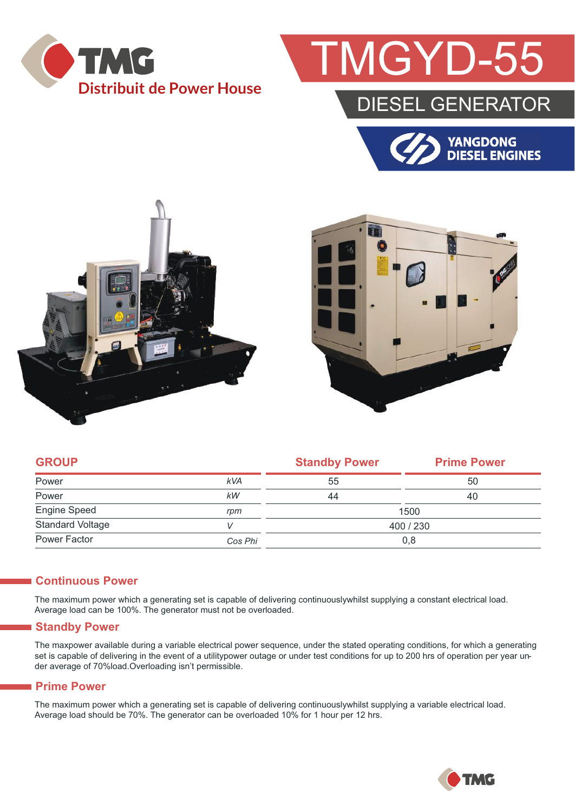

# GYD-5

### DIESEL GENERATOR







|            | <b>Standby Power</b> | <b>Prime Power</b> |  |
|------------|----------------------|--------------------|--|
| <b>kVA</b> | 55                   | 50                 |  |
| kW         | 44                   | 40                 |  |
| rpm        | 1500                 |                    |  |
|            | 400 / 230            |                    |  |
| Cos Phi    | 0,8                  |                    |  |
|            |                      |                    |  |

#### **Continuous Power**

The maximum power which a generating set is capable of delivering continuouslywhilst supplying a constant electrical load. Average load can be 100%. The generator must not be overloaded.

#### **Standby Power**

The maxpower available during a variable electrical power sequence, under the stated operating conditions, for which a generating set is capable of delivering in the event of a utilitypower outage or under test conditions for up to 200 hrs of operation per year under average of 70%load.Overloading isn't permissible.

#### **Prime Power**

The maximum power which a generating set is capable of delivering continuouslywhilst supplying a variable electrical load. Average load should be 70%. The generator can be overloaded 10% for 1 hour per 12 hrs.

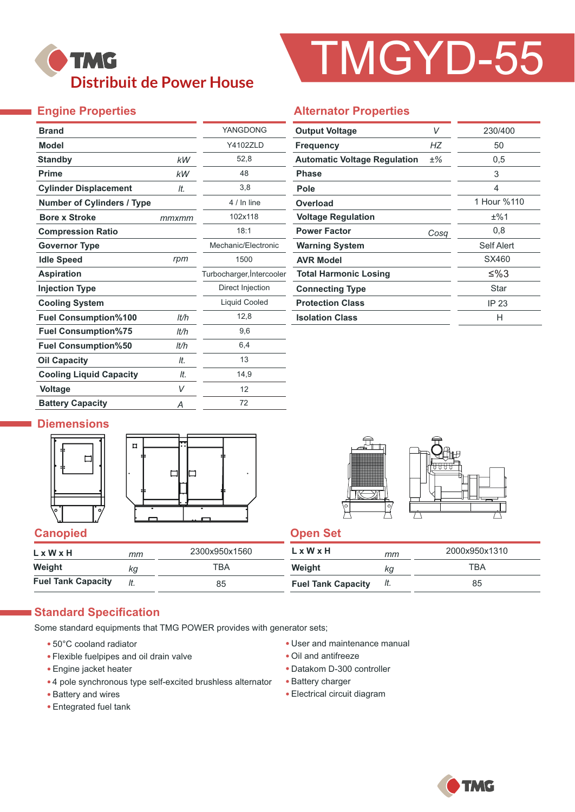## **TMG Distribuit de Power House**

# TMGYD-55

### **Engine Properties**

Ť,

| <b>Brand</b>                      |       | YANGDONG                  |
|-----------------------------------|-------|---------------------------|
| <b>Model</b>                      |       | <b>Y4102ZLD</b>           |
| <b>Standby</b>                    | kW    | 52,8                      |
| <b>Prime</b>                      | kW    | 48                        |
| <b>Cylinder Displacement</b>      | It.   | 3,8                       |
| <b>Number of Cylinders / Type</b> |       | 4 / In line               |
| <b>Bore x Stroke</b>              | mmxmm | 102x118                   |
| <b>Compression Ratio</b>          |       | 18:1                      |
| <b>Governor Type</b>              |       | Mechanic/Electronic       |
| <b>Idle Speed</b>                 | rpm   | 1500                      |
| <b>Aspiration</b>                 |       | Turbocharger, Intercooler |
| <b>Injection Type</b>             |       | Direct Injection          |
| <b>Cooling System</b>             |       | Liquid Cooled             |
| <b>Fuel Consumption%100</b>       | lt/h  | 12,8                      |
| <b>Fuel Consumption%75</b>        | lt/h  | 9,6                       |
| <b>Fuel Consumption%50</b>        | lt/h  | 6,4                       |
| <b>Oil Capacity</b>               | It.   | 13                        |
| <b>Cooling Liquid Capacity</b>    | It.   | 14,9                      |
| <b>Voltage</b>                    | V     | 12                        |
| <b>Battery Capacity</b>           | Α     | 72                        |

#### **Alternator Properties**

| <b>Output Voltage</b>               | V     | 230/400     |  |  |
|-------------------------------------|-------|-------------|--|--|
| <b>Frequency</b>                    | НZ    | 50          |  |  |
| <b>Automatic Voltage Regulation</b> | $±\%$ | 0,5         |  |  |
| <b>Phase</b>                        |       | 3           |  |  |
| Pole                                |       | 4           |  |  |
| Overload                            |       | 1 Hour %110 |  |  |
| <b>Voltage Regulation</b>           |       | ±%1         |  |  |
| <b>Power Factor</b>                 | Cosq  | 0,8         |  |  |
| <b>Warning System</b>               |       | Self Alert  |  |  |
| <b>AVR Model</b>                    |       | SX460       |  |  |
| <b>Total Harmonic Losing</b>        |       | ≤%3         |  |  |
| <b>Connecting Type</b>              |       | Star        |  |  |
| <b>Protection Class</b>             |       | IP 23       |  |  |
| <b>Isolation Class</b>              |       | н           |  |  |

#### **Diemensions**







| $L \times W \times H$     | mm  | 2300x950x1560 | L x W x H                 | mm  | 2000x950x1310 |
|---------------------------|-----|---------------|---------------------------|-----|---------------|
| Weight                    | kg  | тва           | Weight                    | Кg  | TBA           |
| <b>Fuel Tank Capacity</b> | It. | 85            | <b>Fuel Tank Capacity</b> | It. | 85            |

#### **Standard Specification**

Some standard equipments that TMG POWER provides with generator sets;

- 50°C cooland radiator
- Flexible fuelpipes and oil drain valve
- Engine jacket heater
- 4 pole synchronous type self-excited brushless alternator
- Battery and wires
- Entegrated fuel tank
- User and maintenance manual
- Oil and antifreeze
- Datakom D-300 controller
- Battery charger
- Electrical circuit diagram